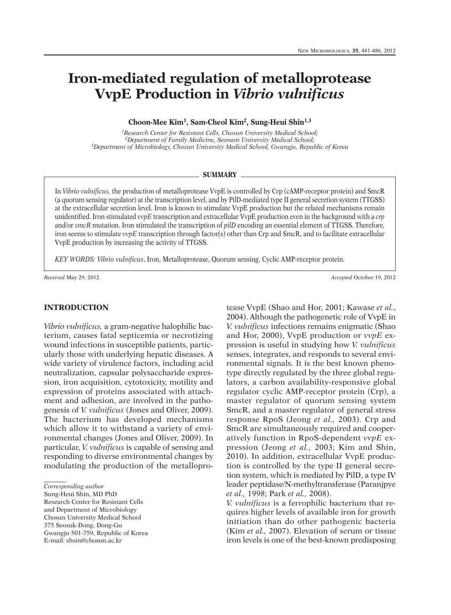# **Iron-mediated regulation of metalloprotease VvpE Production in** *Vibrio vulnificus*

**Choon-Mee Kim1, Sam-Cheol Kim2, Sung-Heui Shin1,3**

*1Research Center for Resistant Cells, Chosun University Medical School; 2Department of Family Medicine, Seonam University Medical School; 3Department of Microbiology, Chosun University Medical School, Gwangju, Republic of Korea*

#### **SUMMARY**

In *Vibrio vulnificus,* the production of metalloprotease VvpE is controlled by Crp (cAMP-receptor protein) and SmcR (a quorum sensing regulator) at the transcription level, and by PilD-mediated type II general secretion system (TTGSS) at the extracellular secretion level. Iron is known to stimulate VvpE production but the related mechanisms remain unidentified. Iron stimulated *vvpE* transcription and extracellular VvpE production even in the background with a *crp* and/or *smcR* mutation. Iron stimulated the transcription of *pilD* encoding an essential element of TTGSS. Therefore, iron seems to stimulate *vvpE* transcription through factor(s) other than Crp and SmcR, and to facilitate extracellular VvpE production by increasing the activity of TTGSS.

*KEY WORDS: Vibrio vulnificus*, Iron, Metalloprotease, Quorum sensing, Cyclic AMP-receptor protein.

*Received* May 29, 2012 *Accepted* October 19, 2012

## **INTRODUCTION**

*Vibrio vulnificus,* a gram-negative halophilic bacterium, causes fatal septicemia or necrotizing wound infections in susceptible patients, particularly those with underlying hepatic diseases. A wide variety of virulence factors, including acid neutralization, capsular polysaccharide expression, iron acquisition, cytotoxicity, motility and expression of proteins associated with attachment and adhesion, are involved in the pathogenesis of *V. vulnificus* (Jones and Oliver, 2009). The bacterium has developed mechanisms which allow it to withstand a variety of environmental changes (Jones and Oliver, 2009). In particular, *V. vulnificus* is capable of sensing and responding to diverse environmental changes by modulating the production of the metallopro-

*Corresponding author*

Sung-Heui Shin, MD PhD Research Center for Resistant Cells and Department of Microbiology Chosun University Medical School 375 Seosuk-Dong, Dong-Gu Gwangju 501-759, Republic of Korea E-mail: shsin@chosun.ac.kr

tease VvpE (Shao and Hor, 2001; Kawase *et al.*, 2004). Although the pathogenetic role of VvpE in *V. vulnificus* infections remains enigmatic (Shao and Hor, 2000), VvpE production or *vvpE* expression is useful in studying how *V. vulnificus* senses, integrates, and responds to several environmental signals. It is the best known phenotype directly regulated by the three global regulators, a carbon availability-responsive global regulator cyclic AMP-receptor protein (Crp), a master regulator of quorum sensing system SmcR, and a master regulator of general stress response RpoS (Jeong *et al.,* 2003). Crp and SmcR are simultaneously required and cooperatively function in RpoS-dependent *vvpE* expression (Jeong *et al.,* 2003; Kim and Shin, 2010). In addition, extracellular VvpE production is controlled by the type II general secretion system, which is mediated by PilD, a type IV leader peptidase/N-methyltransferase (Paranjpye *et al.,* 1998; Park *et al.,* 2008).

*V. vulnificus* is a ferrophilic bacterium that requires higher levels of available iron for growth initiation than do other pathogenic bacteria (Kim *et al.,* 2007). Elevation of serum or tissue iron levels is one of the best-known predisposing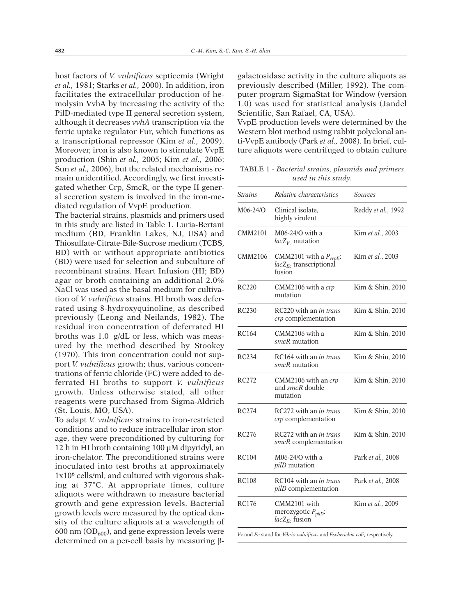host factors of *V. vulnificus* septicemia (Wright *et al.,* 1981; Starks *et al.,* 2000). In addition, iron facilitates the extracellular production of hemolysin VvhA by increasing the activity of the PilD-mediated type II general secretion system, although it decreases *vvhA* transcription via the ferric uptake regulator Fur, which functions as a transcriptional repressor (Kim *et al.,* 2009). Moreover, iron is also known to stimulate VvpE production (Shin *et al.,* 2005; Kim *et al.,* 2006; Sun *et al.,* 2006), but the related mechanisms remain unidentified. Accordingly, we first investigated whether Crp, SmcR, or the type II general secretion system is involved in the iron-mediated regulation of VvpE production.

The bacterial strains, plasmids and primers used in this study are listed in Table 1. Luria-Bertani medium (BD, Franklin Lakes, NJ, USA) and Thiosulfate-Citrate-Bile-Sucrose medium (TCBS, BD) with or without appropriate antibiotics (BD) were used for selection and subculture of recombinant strains. Heart Infusion (HI; BD) agar or broth containing an additional 2.0% NaCl was used as the basal medium for cultivation of *V. vulnificus* strains. HI broth was deferrated using 8-hydroxyquinoline, as described previously (Leong and Neilands, 1982). The residual iron concentration of deferrated HI broths was 1.0 g/dL or less, which was measured by the method described by Stookey (1970). This iron concentration could not support *V. vulnificus* growth; thus, various concentrations of ferric chloride (FC) were added to deferrated HI broths to support *V. vulnificus* growth. Unless otherwise stated, all other reagents were purchased from Sigma-Aldrich (St. Louis, MO, USA).

To adapt *V. vulnificus* strains to iron-restricted conditions and to reduce intracellular iron storage, they were preconditioned by culturing for 12 h in HI broth containing 100 µM dipyridyl, an iron-chelator. The preconditioned strains were inoculated into test broths at approximately 1x106 cells/ml, and cultured with vigorous shaking at 37°C. At appropriate times, culture aliquots were withdrawn to measure bacterial growth and gene expression levels. Bacterial growth levels were measured by the optical density of the culture aliquots at a wavelength of 600 nm  $(OD<sub>600</sub>)$ , and gene expression levels were determined on a per-cell basis by measuring  $\beta$ - galactosidase activity in the culture aliquots as previously described (Miller, 1992). The computer program SigmaStat for Window (version 1.0) was used for statistical analysis (Jandel Scientific, San Rafael, CA, USA).

VvpE production levels were determined by the Western blot method using rabbit polyclonal anti-VvpE antibody (Park *et al.,* 2008). In brief, culture aliquots were centrifuged to obtain culture

TABLE 1 - *Bacterial strains, plasmids and primers used in this study.*

| <i>Strains</i>    | Relative characteristics                                              | <i>Sources</i>     |
|-------------------|-----------------------------------------------------------------------|--------------------|
| M06-24/O          | Clinical isolate.<br>highly virulent                                  | Reddy et al., 1992 |
| CMM2101           | M06-24/O with a<br>$lacZ_{Vv}$ mutation                               | Kim et al., 2003   |
| CMM2106           | CMM2101 with a $P_{vvpE}$ :<br>$lacZ_{Fc}$ transcriptional<br>fusion  | Kim et al., 2003   |
| RC <sub>220</sub> | $CMM2106$ with a crp<br>mutation                                      | Kim & Shin, 2010   |
| RC230             | RC220 with an in trans<br>crp complementation                         | Kim & Shin, 2010   |
| RC164             | CMM2106 with a<br>smcR mutation                                       | Kim & Shin, 2010   |
| <b>RC234</b>      | RC164 with an in trans<br>smcR mutation                               | Kim & Shin, 2010   |
| RC272             | CMM2106 with an crp<br>and smcR double<br>mutation                    | Kim & Shin, 2010   |
| <b>RC274</b>      | RC272 with an in trans<br>crp complementation                         | Kim & Shin, 2010   |
| RC <sub>276</sub> | RC272 with an <i>in trans</i><br>smcR complementation                 | Kim & Shin, 2010   |
| <b>RC104</b>      | M06-24/O with a<br><i>pilD</i> mutation                               | Park et al., 2008  |
| RC108             | RC104 with an in trans<br>pilD complementation                        | Park et al., 2008  |
| RC176             | CMM2101 with<br>merozygotic $P_{\text{nilD}}$ :<br>$lacZ_{Fc}$ fusion | Kim et al., 2009   |
|                   |                                                                       |                    |

*Vv* and *Ec* stand for *Vibrio vulnificus* and *Escherichia coli*, respectively.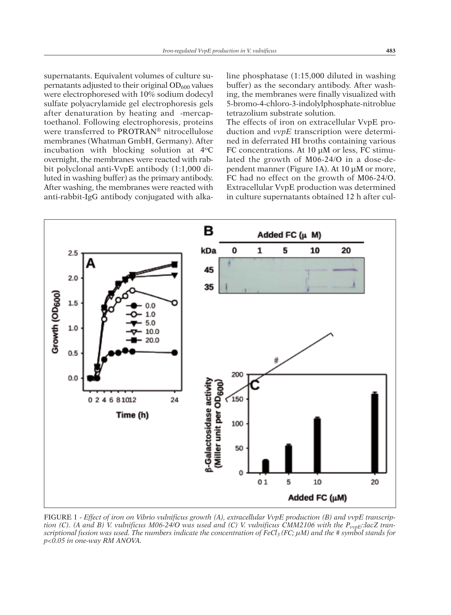supernatants. Equivalent volumes of culture supernatants adjusted to their original  $OD_{600}$  values were electrophoresed with 10% sodium dodecyl sulfate polyacrylamide gel electrophoresis gels after denaturation by heating and -mercaptoethanol. Following electrophoresis, proteins were transferred to PROTRAN® nitrocellulose membranes (Whatman GmbH, Germany). After incubation with blocking solution at  $4^{\circ}$ C overnight, the membranes were reacted with rabbit polyclonal anti-VvpE antibody (1:1,000 diluted in washing buffer) as the primary antibody. After washing, the membranes were reacted with anti-rabbit-IgG antibody conjugated with alkaline phosphatase (1:15,000 diluted in washing buffer) as the secondary antibody. After washing, the membranes were finally visualized with 5-bromo-4-chloro-3-indolylphosphate-nitroblue tetrazolium substrate solution.

The effects of iron on extracellular VvpE production and *vvpE* transcription were determined in deferrated HI broths containing various FC concentrations. At 10 µM or less, FC stimulated the growth of M06-24/O in a dose-dependent manner (Figure 1A). At 10 µM or more, FC had no effect on the growth of M06-24/O. Extracellular VvpE production was determined in culture supernatants obtained 12 h after cul-



FIGURE 1 - *Effect of iron on Vibrio vulnificus growth (A), extracellular VvpE production (B) and vvpE transcrip*tion (C). (A and B) V. vulnificus M06-24/O was used and (C) V. vulnificus CMM2106 with the  $P_{vvpE}$ : lacZ transcriptional fusion was used. The numbers indicate the concentration of FeCl<sub>3</sub> (FC;  $\mu$ M) and the #symbol stands for *p<0.05 in one-way RM ANOVA.*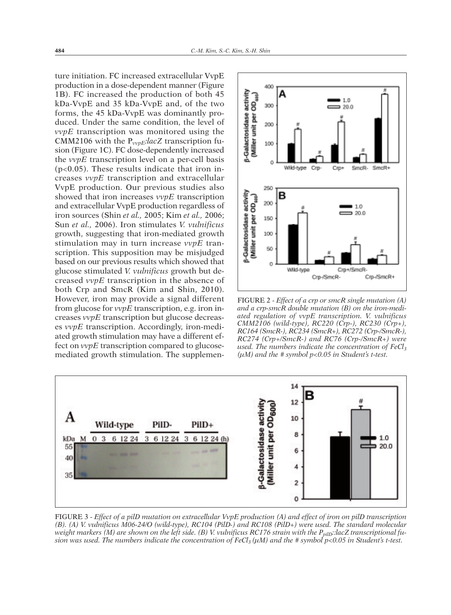ture initiation. FC increased extracellular VvpE production in a dose-dependent manner (Figure 1B). FC increased the production of both 45 kDa-VvpE and 35 kDa-VvpE and, of the two forms, the 45 kDa-VvpE was dominantly produced. Under the same condition, the level of *vvpE* transcription was monitored using the CMM2106 with the P*vvpE:lacZ* transcription fusion (Figure 1C). FC dose-dependently increased the *vvpE* transcription level on a per-cell basis (p<0.05). These results indicate that iron increases *vvpE* transcription and extracellular VvpE production. Our previous studies also showed that iron increases *vvpE* transcription and extracellular VvpE production regardless of iron sources (Shin *et al.,* 2005; Kim *et al.,* 2006; Sun *et al.,* 2006). Iron stimulates *V. vulnificus* growth, suggesting that iron-mediated growth stimulation may in turn increase *vvpE* transcription. This supposition may be misjudged based on our previous results which showed that glucose stimulated *V. vulnificus* growth but decreased *vvpE* transcription in the absence of both Crp and SmcR (Kim and Shin, 2010). However, iron may provide a signal different from glucose for *vvpE* transcription, e.g. iron increases *vvpE* transcription but glucose decreases *vvpE* transcription. Accordingly, iron-mediated growth stimulation may have a different effect on *vvpE* transcription compared to glucosemediated growth stimulation. The supplemen-



FIGURE 2 - *Effect of a crp or smcR single mutation (A) and a crp-smcR double mutation (B) on the iron-mediated regulation of vvpE transcription. V. vulnificus CMM2106 (wild-type), RC220 (Crp-), RC230 (Crp+), RC164 (SmcR-), RC234 (SmcR+), RC272 (Crp-/SmcR-), RC274 (Crp+/SmcR-) and RC76 (Crp-/SmcR+) were used. The numbers indicate the concentration of FeCl<sub>3</sub> (µM) and the # symbol p<0.05 in Student's t-test.*



FIGURE 3 - Effect of a pilD mutation on extracellular VvpE production (A) and effect of iron on pilD transcription *(B). (A) V. vulnificus M06-24/O (wild-type), RC104 (PilD-) and RC108 (PilD+) were used. The standard molecular* weight markers (M) are shown on the left side. (B) V. vulnificus RC176 strain with the  $P_{\text{nilD}}$ : lacZ transcriptional fusion was used. The numbers indicate the concentration of FeCl<sub>3</sub> ( $\mu$ M) and the #symbol  $p$ <0.05 in Student's t-test.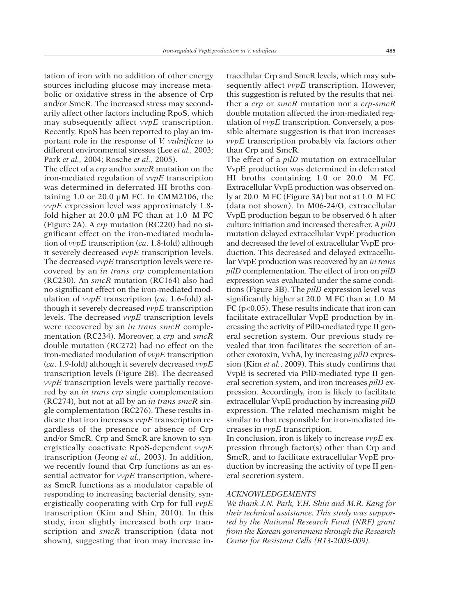tation of iron with no addition of other energy sources including glucose may increase metabolic or oxidative stress in the absence of Crp and/or SmcR. The increased stress may secondarily affect other factors including RpoS, which may subsequently affect *vvpE* transcription. Recently, RpoS has been reported to play an important role in the response of *V. vulnificus* to different environmental stresses (Lee *et al.,* 2003; Park *et al.,* 2004; Rosche *et al.,* 2005).

The effect of a *crp* and/or *smcR* mutation on the iron-mediated regulation of *vvpE* transcription was determined in deferrated HI broths containing 1.0 or 20.0 µM FC. In CMM2106, the *vvpE* expression level was approximately 1.8 fold higher at 20.0 µM FC than at 1.0 M FC (Figure 2A). A *crp* mutation (RC220) had no significant effect on the iron-mediated modulation of *vvpE* transcription (*ca*. 1.8-fold) although it severely decreased *vvpE* transcription levels. The decreased *vvpE* transcription levels were recovered by an *in trans crp* complementation (RC230). An *smcR* mutation (RC164) also had no significant effect on the iron-mediated modulation of *vvpE* transcription (*ca*. 1.6-fold) although it severely decreased *vvpE* transcription levels. The decreased *vvpE* transcription levels were recovered by an *in trans smcR* complementation (RC234). Moreover, a *crp* and *smcR* double mutation (RC272) had no effect on the iron-mediated modulation of *vvpE* transcription (*ca*. 1.9-fold) although it severely decreased *vvpE* transcription levels (Figure 2B). The decreased *vvpE* transcription levels were partially recovered by an *in trans crp* single complementation (RC274), but not at all by an *in trans smcR* single complementation (RC276). These results indicate that iron increases *vvpE* transcription regardless of the presence or absence of Crp and/or SmcR. Crp and SmcR are known to synergistically coactivate RpoS-dependent *vvpE* transcription (Jeong *et al.,* 2003). In addition, we recently found that Crp functions as an essential activator for *vvpE* transcription, whereas SmcR functions as a modulator capable of responding to increasing bacterial density, synergistically cooperating with Crp for full *vvpE* transcription (Kim and Shin, 2010). In this study, iron slightly increased both *crp* transcription and *smcR* transcription (data not shown), suggesting that iron may increase in-

tracellular Crp and SmcR levels, which may subsequently affect *vvpE* transcription. However, this suggestion is refuted by the results that neither a *crp* or *smcR* mutation nor a *crp*-*smcR* double mutation affected the iron-mediated regulation of *vvpE* transcription. Conversely, a possible alternate suggestion is that iron increases *vvpE* transcription probably via factors other than Crp and SmcR.

The effect of a *pilD* mutation on extracellular VvpE production was determined in deferrated HI broths containing 1.0 or 20.0 M FC. Extracellular VvpE production was observed only at 20.0 M FC (Figure 3A) but not at 1.0 M FC (data not shown). In M06-24/O, extracellular VvpE production began to be observed 6 h after culture initiation and increased thereafter. A *pilD* mutation delayed extracellular VvpE production and decreased the level of extracellular VvpE production. This decreased and delayed extracellular VvpE production was recovered by an *in trans pilD* complementation. The effect of iron on *pilD* expression was evaluated under the same conditions (Figure 3B). The *pilD* expression level was significantly higher at 20.0 M FC than at 1.0 M FC (p<0.05). These results indicate that iron can facilitate extracellular VvpE production by increasing the activity of PilD-mediated type II general secretion system. Our previous study revealed that iron facilitates the secretion of another exotoxin, VvhA, by increasing *pilD* expression (Kim *et al.*, 2009). This study confirms that VvpE is secreted via PilD-mediated type II general secretion system, and iron increases *pilD* expression. Accordingly, iron is likely to facilitate extracellular VvpE production by increasing *pilD* expression. The related mechanism might be similar to that responsible for iron-mediated increases in *vvpE* transcription.

In conclusion, iron is likely to increase *vvpE* expression through factor(s) other than Crp and SmcR, and to facilitate extracellular VvpE production by increasing the activity of type II general secretion system.

#### *ACKNOWLEDGEMENTS*

*We thank J.N. Park, Y.H. Shin and M.R. Kang for their technical assistance. This study was supported by the National Research Fund (NRF) grant from the Korean government through the Research Center for Resistant Cells (R13-2003-009).*